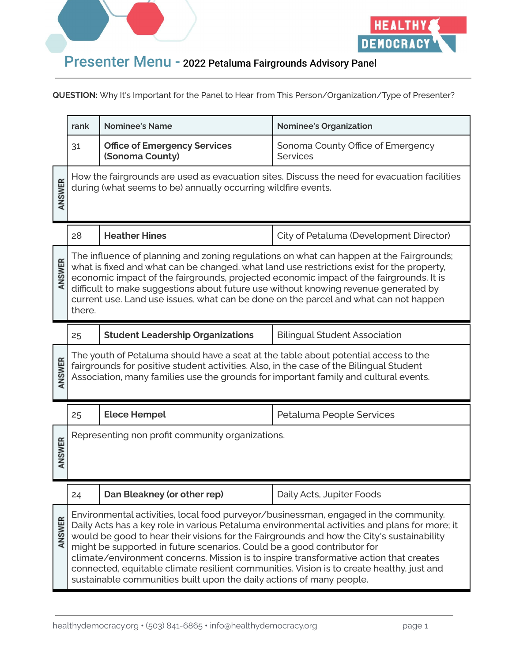



|        | rank                                                                                  | <b>Nominee's Name</b>                                                                                                                                                                                                                                                                                                                                                                                                                                                                                                       | <b>Nominee's Organization</b>                                                                                                                                                                                                                                                   |
|--------|---------------------------------------------------------------------------------------|-----------------------------------------------------------------------------------------------------------------------------------------------------------------------------------------------------------------------------------------------------------------------------------------------------------------------------------------------------------------------------------------------------------------------------------------------------------------------------------------------------------------------------|---------------------------------------------------------------------------------------------------------------------------------------------------------------------------------------------------------------------------------------------------------------------------------|
|        | 31                                                                                    | <b>Office of Emergency Services</b><br>(Sonoma County)                                                                                                                                                                                                                                                                                                                                                                                                                                                                      | Sonoma County Office of Emergency<br><b>Services</b>                                                                                                                                                                                                                            |
| ANSWER |                                                                                       | during (what seems to be) annually occurring wildfire events.                                                                                                                                                                                                                                                                                                                                                                                                                                                               | How the fairgrounds are used as evacuation sites. Discuss the need for evacuation facilities                                                                                                                                                                                    |
|        | 28                                                                                    | <b>Heather Hines</b>                                                                                                                                                                                                                                                                                                                                                                                                                                                                                                        | City of Petaluma (Development Director)                                                                                                                                                                                                                                         |
| ANSWER | there.                                                                                | difficult to make suggestions about future use without knowing revenue generated by<br>current use. Land use issues, what can be done on the parcel and what can not happen                                                                                                                                                                                                                                                                                                                                                 | The influence of planning and zoning regulations on what can happen at the Fairgrounds;<br>what is fixed and what can be changed. what land use restrictions exist for the property,<br>economic impact of the fairgrounds, projected economic impact of the fairgrounds. It is |
|        | <b>Student Leadership Organizations</b><br><b>Bilingual Student Association</b><br>25 |                                                                                                                                                                                                                                                                                                                                                                                                                                                                                                                             |                                                                                                                                                                                                                                                                                 |
| ANSWER |                                                                                       | The youth of Petaluma should have a seat at the table about potential access to the<br>fairgrounds for positive student activities. Also, in the case of the Bilingual Student<br>Association, many families use the grounds for important family and cultural events.                                                                                                                                                                                                                                                      |                                                                                                                                                                                                                                                                                 |
|        | 25                                                                                    | <b>Elece Hempel</b>                                                                                                                                                                                                                                                                                                                                                                                                                                                                                                         | Petaluma People Services                                                                                                                                                                                                                                                        |
| ANSWER |                                                                                       | Representing non profit community organizations.                                                                                                                                                                                                                                                                                                                                                                                                                                                                            |                                                                                                                                                                                                                                                                                 |
|        | 24                                                                                    | Dan Bleakney (or other rep)                                                                                                                                                                                                                                                                                                                                                                                                                                                                                                 | Daily Acts, Jupiter Foods                                                                                                                                                                                                                                                       |
| ANSWER |                                                                                       | Environmental activities, local food purveyor/businessman, engaged in the community.<br>would be good to hear their visions for the Fairgrounds and how the City's sustainability<br>might be supported in future scenarios. Could be a good contributor for<br>climate/environment concerns. Mission is to inspire transformative action that creates<br>connected, equitable climate resilient communities. Vision is to create healthy, just and<br>sustainable communities built upon the daily actions of many people. | Daily Acts has a key role in various Petaluma environmental activities and plans for more; it                                                                                                                                                                                   |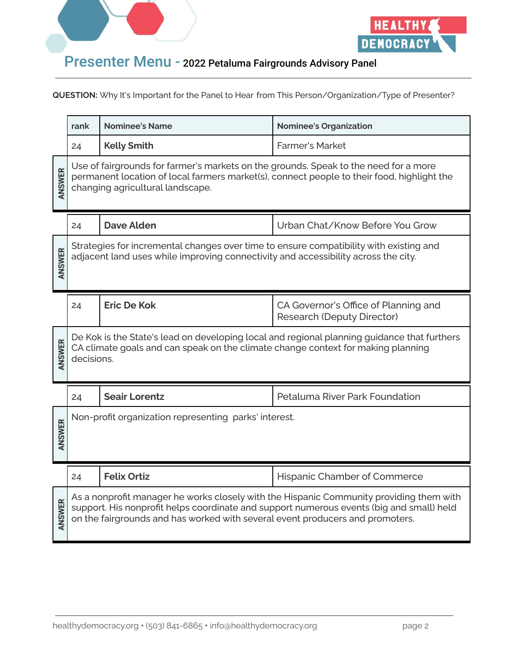



|        | rank       | <b>Nominee's Name</b>                                                                                                                                                        | <b>Nominee's Organization</b>                                                               |
|--------|------------|------------------------------------------------------------------------------------------------------------------------------------------------------------------------------|---------------------------------------------------------------------------------------------|
|        | 24         | <b>Kelly Smith</b>                                                                                                                                                           | <b>Farmer's Market</b>                                                                      |
| ANSWER |            | Use of fairgrounds for farmer's markets on the grounds. Speak to the need for a more<br>changing agricultural landscape.                                                     | permanent location of local farmers market(s), connect people to their food, highlight the  |
|        | 24         | <b>Dave Alden</b>                                                                                                                                                            | Urban Chat/Know Before You Grow                                                             |
| ANSWER |            | Strategies for incremental changes over time to ensure compatibility with existing and<br>adjacent land uses while improving connectivity and accessibility across the city. |                                                                                             |
|        | 24         | <b>Eric De Kok</b>                                                                                                                                                           | CA Governor's Office of Planning and<br><b>Research (Deputy Director)</b>                   |
| ANSWER | decisions. | CA climate goals and can speak on the climate change context for making planning                                                                                             | De Kok is the State's lead on developing local and regional planning guidance that furthers |
|        | 24         | <b>Seair Lorentz</b>                                                                                                                                                         | Petaluma River Park Foundation                                                              |
| ANSWER |            | Non-profit organization representing parks' interest.                                                                                                                        |                                                                                             |
|        |            |                                                                                                                                                                              |                                                                                             |
|        | 24         | <b>Felix Ortiz</b>                                                                                                                                                           | Hispanic Chamber of Commerce                                                                |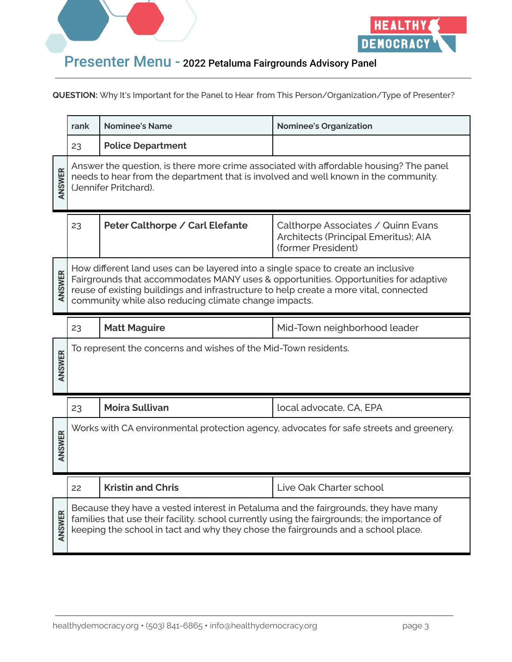



|        | rank                                                                                                                                                                                                                                                                                                                       | <b>Nominee's Name</b>                                                                                                                                                                                                                                                   | <b>Nominee's Organization</b>                                                                    |
|--------|----------------------------------------------------------------------------------------------------------------------------------------------------------------------------------------------------------------------------------------------------------------------------------------------------------------------------|-------------------------------------------------------------------------------------------------------------------------------------------------------------------------------------------------------------------------------------------------------------------------|--------------------------------------------------------------------------------------------------|
|        | 23                                                                                                                                                                                                                                                                                                                         | <b>Police Department</b>                                                                                                                                                                                                                                                |                                                                                                  |
| ANSWER |                                                                                                                                                                                                                                                                                                                            | needs to hear from the department that is involved and well known in the community.<br>(Jennifer Pritchard).                                                                                                                                                            | Answer the question, is there more crime associated with affordable housing? The panel           |
|        | 23                                                                                                                                                                                                                                                                                                                         | Peter Calthorpe / Carl Elefante                                                                                                                                                                                                                                         | Calthorpe Associates / Quinn Evans<br>Architects (Principal Emeritus); AIA<br>(former President) |
| ANSWER | How different land uses can be layered into a single space to create an inclusive<br>Fairgrounds that accommodates MANY uses & opportunities. Opportunities for adaptive<br>reuse of existing buildings and infrastructure to help create a more vital, connected<br>community while also reducing climate change impacts. |                                                                                                                                                                                                                                                                         |                                                                                                  |
|        | <b>Matt Maguire</b><br>Mid-Town neighborhood leader<br>23                                                                                                                                                                                                                                                                  |                                                                                                                                                                                                                                                                         |                                                                                                  |
| ANSWER |                                                                                                                                                                                                                                                                                                                            | To represent the concerns and wishes of the Mid-Town residents.                                                                                                                                                                                                         |                                                                                                  |
|        | 23                                                                                                                                                                                                                                                                                                                         | <b>Moira Sullivan</b>                                                                                                                                                                                                                                                   | local advocate, CA, EPA                                                                          |
| ANSWER |                                                                                                                                                                                                                                                                                                                            |                                                                                                                                                                                                                                                                         | Works with CA environmental protection agency, advocates for safe streets and greenery.          |
|        | 22                                                                                                                                                                                                                                                                                                                         | <b>Kristin and Chris</b>                                                                                                                                                                                                                                                | Live Oak Charter school                                                                          |
| ANSWER |                                                                                                                                                                                                                                                                                                                            | Because they have a vested interest in Petaluma and the fairgrounds, they have many<br>families that use their facility. school currently using the fairgrounds; the importance of<br>keeping the school in tact and why they chose the fairgrounds and a school place. |                                                                                                  |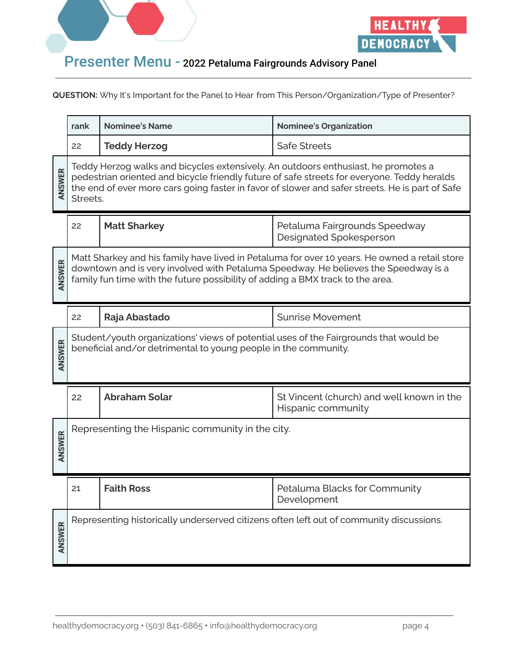



|        | rank     | <b>Nominee's Name</b>                                                                                                                                    | <b>Nominee's Organization</b>                                                                                                                                                                  |
|--------|----------|----------------------------------------------------------------------------------------------------------------------------------------------------------|------------------------------------------------------------------------------------------------------------------------------------------------------------------------------------------------|
|        | 22       | <b>Teddy Herzog</b>                                                                                                                                      | <b>Safe Streets</b>                                                                                                                                                                            |
| ANSWER | Streets. | Teddy Herzog walks and bicycles extensively. An outdoors enthusiast, he promotes a                                                                       | pedestrian oriented and bicycle friendly future of safe streets for everyone. Teddy heralds<br>the end of ever more cars going faster in favor of slower and safer streets. He is part of Safe |
|        | 22       | <b>Matt Sharkey</b>                                                                                                                                      | Petaluma Fairgrounds Speedway<br><b>Designated Spokesperson</b>                                                                                                                                |
| ANSWER |          | family fun time with the future possibility of adding a BMX track to the area.                                                                           | Matt Sharkey and his family have lived in Petaluma for over 10 years. He owned a retail store<br>downtown and is very involved with Petaluma Speedway. He believes the Speedway is a           |
|        | 22       | Raja Abastado                                                                                                                                            | <b>Sunrise Movement</b>                                                                                                                                                                        |
| ANSWER |          | Student/youth organizations' views of potential uses of the Fairgrounds that would be<br>beneficial and/or detrimental to young people in the community. |                                                                                                                                                                                                |
|        | 22       | <b>Abraham Solar</b>                                                                                                                                     | St Vincent (church) and well known in the<br>Hispanic community                                                                                                                                |
| ANSWER |          | Representing the Hispanic community in the city.                                                                                                         |                                                                                                                                                                                                |
|        | 21       | <b>Faith Ross</b>                                                                                                                                        | Petaluma Blacks for Community<br>Development                                                                                                                                                   |
| ANSWER |          | Representing historically underserved citizens often left out of community discussions.                                                                  |                                                                                                                                                                                                |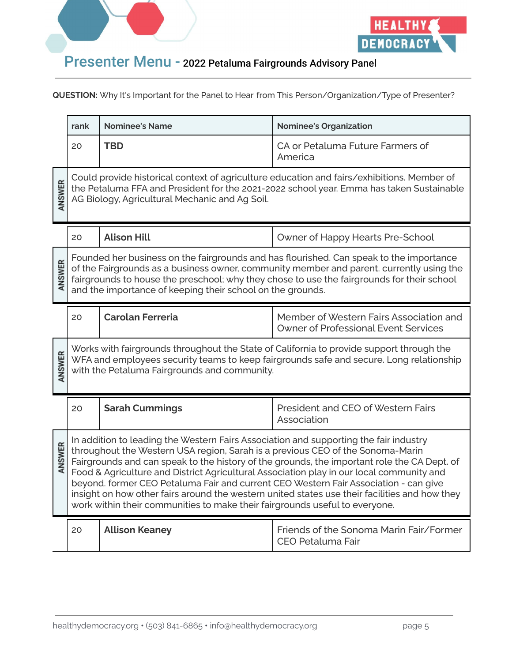



|        | rank                                                                                                                                                                                                                                                                                                                                                                                                                                                                                                                                                                                                                                       | <b>Nominee's Name</b>                                      | <b>Nominee's Organization</b>                                                                                                                                                                                                                                                     |
|--------|--------------------------------------------------------------------------------------------------------------------------------------------------------------------------------------------------------------------------------------------------------------------------------------------------------------------------------------------------------------------------------------------------------------------------------------------------------------------------------------------------------------------------------------------------------------------------------------------------------------------------------------------|------------------------------------------------------------|-----------------------------------------------------------------------------------------------------------------------------------------------------------------------------------------------------------------------------------------------------------------------------------|
|        | 20                                                                                                                                                                                                                                                                                                                                                                                                                                                                                                                                                                                                                                         | <b>TBD</b>                                                 | CA or Petaluma Future Farmers of<br>America                                                                                                                                                                                                                                       |
| ANSWER |                                                                                                                                                                                                                                                                                                                                                                                                                                                                                                                                                                                                                                            | AG Biology, Agricultural Mechanic and Ag Soil.             | Could provide historical context of agriculture education and fairs/exhibitions. Member of<br>the Petaluma FFA and President for the 2021-2022 school year. Emma has taken Sustainable                                                                                            |
|        | 20                                                                                                                                                                                                                                                                                                                                                                                                                                                                                                                                                                                                                                         | <b>Alison Hill</b>                                         | Owner of Happy Hearts Pre-School                                                                                                                                                                                                                                                  |
| ANSWER |                                                                                                                                                                                                                                                                                                                                                                                                                                                                                                                                                                                                                                            | and the importance of keeping their school on the grounds. | Founded her business on the fairgrounds and has flourished. Can speak to the importance<br>of the Fairgrounds as a business owner, community member and parent. currently using the<br>fairgrounds to house the preschool; why they chose to use the fairgrounds for their school |
|        | 20                                                                                                                                                                                                                                                                                                                                                                                                                                                                                                                                                                                                                                         | <b>Carolan Ferreria</b>                                    | Member of Western Fairs Association and<br><b>Owner of Professional Event Services</b>                                                                                                                                                                                            |
| ANSWER |                                                                                                                                                                                                                                                                                                                                                                                                                                                                                                                                                                                                                                            | with the Petaluma Fairgrounds and community.               | Works with fairgrounds throughout the State of California to provide support through the<br>WFA and employees security teams to keep fairgrounds safe and secure. Long relationship                                                                                               |
|        | 20                                                                                                                                                                                                                                                                                                                                                                                                                                                                                                                                                                                                                                         | <b>Sarah Cummings</b>                                      | <b>President and CEO of Western Fairs</b><br>Association                                                                                                                                                                                                                          |
| ANSWER | In addition to leading the Western Fairs Association and supporting the fair industry<br>throughout the Western USA region, Sarah is a previous CEO of the Sonoma-Marin<br>Fairgrounds and can speak to the history of the grounds, the important role the CA Dept. of<br>Food & Agriculture and District Agricultural Association play in our local community and<br>beyond, former CEO Petaluma Fair and current CEO Western Fair Association - can give<br>insight on how other fairs around the western united states use their facilities and how they<br>work within their communities to make their fairgrounds useful to everyone. |                                                            |                                                                                                                                                                                                                                                                                   |
|        | 20                                                                                                                                                                                                                                                                                                                                                                                                                                                                                                                                                                                                                                         | <b>Allison Keaney</b>                                      | Friends of the Sonoma Marin Fair/Former<br><b>CEO Petaluma Fair</b>                                                                                                                                                                                                               |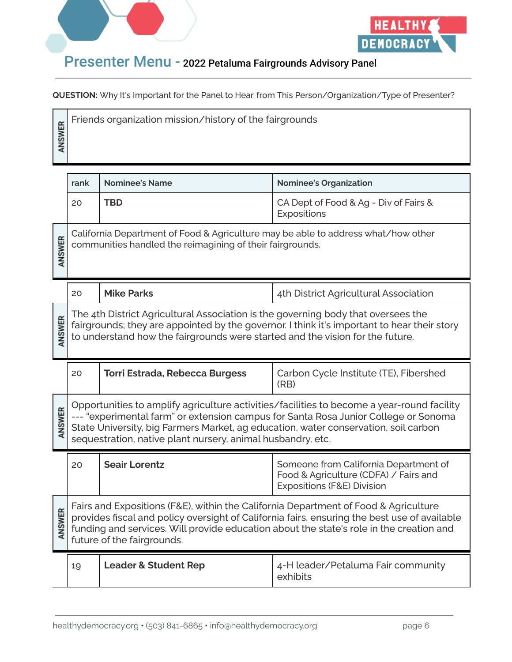



| ER<br>Ĝ, | Friends organization mission/history of the fairgrounds |
|----------|---------------------------------------------------------|
|          |                                                         |
|          |                                                         |

|        | rank                                                                                                                                                                                                                                                                                                         | <b>Nominee's Name</b>                                                                                                                                              | <b>Nominee's Organization</b>                                                                                                                                                     |
|--------|--------------------------------------------------------------------------------------------------------------------------------------------------------------------------------------------------------------------------------------------------------------------------------------------------------------|--------------------------------------------------------------------------------------------------------------------------------------------------------------------|-----------------------------------------------------------------------------------------------------------------------------------------------------------------------------------|
|        | 20                                                                                                                                                                                                                                                                                                           | <b>TBD</b>                                                                                                                                                         | CA Dept of Food & Ag - Div of Fairs &<br>Expositions                                                                                                                              |
| ANSWER | California Department of Food & Agriculture may be able to address what/how other<br>communities handled the reimagining of their fairgrounds.                                                                                                                                                               |                                                                                                                                                                    |                                                                                                                                                                                   |
|        | 20                                                                                                                                                                                                                                                                                                           | <b>Mike Parks</b>                                                                                                                                                  | 4th District Agricultural Association                                                                                                                                             |
| ANSWER |                                                                                                                                                                                                                                                                                                              | The 4th District Agricultural Association is the governing body that oversees the<br>to understand how the fairgrounds were started and the vision for the future. | fairgrounds; they are appointed by the governor. I think it's important to hear their story                                                                                       |
|        | 20                                                                                                                                                                                                                                                                                                           | <b>Torri Estrada, Rebecca Burgess</b>                                                                                                                              | Carbon Cycle Institute (TE), Fibershed<br>(RB)                                                                                                                                    |
| ANSWER |                                                                                                                                                                                                                                                                                                              | State University, big Farmers Market, ag education, water conservation, soil carbon<br>sequestration, native plant nursery, animal husbandry, etc.                 | Opportunities to amplify agriculture activities/facilities to become a year-round facility<br>--- "experimental farm" or extension campus for Santa Rosa Junior College or Sonoma |
|        | 20                                                                                                                                                                                                                                                                                                           | <b>Seair Lorentz</b>                                                                                                                                               | Someone from California Department of<br>Food & Agriculture (CDFA) / Fairs and<br>Expositions (F&E) Division                                                                      |
| ANSWER | Fairs and Expositions (F&E), within the California Department of Food & Agriculture<br>provides fiscal and policy oversight of California fairs, ensuring the best use of available<br>funding and services. Will provide education about the state's role in the creation and<br>future of the fairgrounds. |                                                                                                                                                                    |                                                                                                                                                                                   |
|        | 19                                                                                                                                                                                                                                                                                                           | <b>Leader &amp; Student Rep</b>                                                                                                                                    | 4-H leader/Petaluma Fair community<br>exhibits                                                                                                                                    |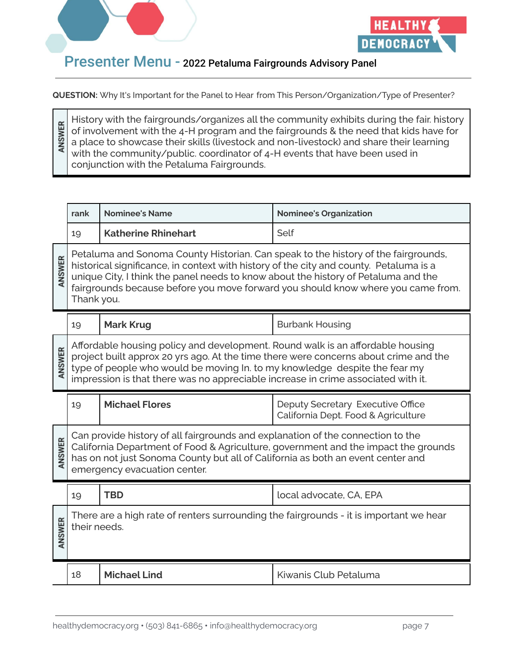

ANSWER



#### Presenter Menu - 2022 Petaluma Fairgrounds Advisory Panel

**QUESTION:** Why It's Important for the Panel to Hear from This Person/Organization/Type of Presenter?

History with the fairgrounds/organizes all the community exhibits during the fair. history of involvement with the 4-H program and the fairgrounds & the need that kids have for a place to showcase their skills (livestock and non-livestock) and share their learning with the community/public. coordinator of 4-H events that have been used in conjunction with the Petaluma Fairgrounds.

|        | rank         | <b>Nominee's Name</b>                                                                                                                                                                                                                             | <b>Nominee's Organization</b>                                                                                                                                          |
|--------|--------------|---------------------------------------------------------------------------------------------------------------------------------------------------------------------------------------------------------------------------------------------------|------------------------------------------------------------------------------------------------------------------------------------------------------------------------|
|        | 19           | <b>Katherine Rhinehart</b>                                                                                                                                                                                                                        | Self                                                                                                                                                                   |
| ANSWER | Thank you.   | historical significance, in context with history of the city and county. Petaluma is a<br>unique City, I think the panel needs to know about the history of Petaluma and the                                                                      | Petaluma and Sonoma County Historian. Can speak to the history of the fairgrounds,<br>fairgrounds because before you move forward you should know where you came from. |
|        | 19           | <b>Mark Krug</b>                                                                                                                                                                                                                                  | <b>Burbank Housing</b>                                                                                                                                                 |
| ANSWER |              | Affordable housing policy and development. Round walk is an affordable housing<br>type of people who would be moving In. to my knowledge despite the fear my<br>impression is that there was no appreciable increase in crime associated with it. | project built approx 20 yrs ago. At the time there were concerns about crime and the                                                                                   |
|        |              |                                                                                                                                                                                                                                                   |                                                                                                                                                                        |
|        | 19           | <b>Michael Flores</b>                                                                                                                                                                                                                             | Deputy Secretary Executive Office<br>California Dept. Food & Agriculture                                                                                               |
| ANSWER |              | Can provide history of all fairgrounds and explanation of the connection to the<br>has on not just Sonoma County but all of California as both an event center and<br>emergency evacuation center.                                                | California Department of Food & Agriculture, government and the impact the grounds                                                                                     |
|        | 19           | <b>TBD</b>                                                                                                                                                                                                                                        | local advocate, CA, EPA                                                                                                                                                |
| ANSWER | their needs. |                                                                                                                                                                                                                                                   | There are a high rate of renters surrounding the fairgrounds - it is important we hear                                                                                 |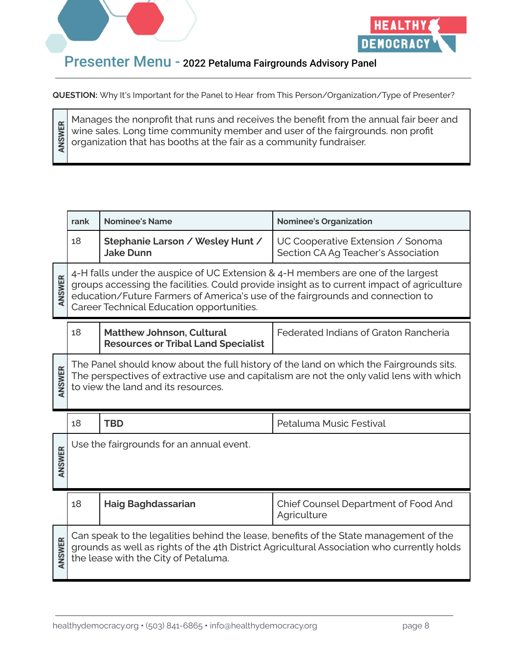

ANSWER



#### Presenter Menu - 2022 Petaluma Fairgrounds Advisory Panel

**QUESTION:** Why It's Important for the Panel to Hear from This Person/Organization/Type of Presenter?

Manages the nonprofit that runs and receives the benefit from the annual fair beer and wine sales. Long time community member and user of the fairgrounds. non profit organization that has booths at the fair as a community fundraiser.

|        | rank                                                                                  | <b>Nominee's Name</b>                                                                                                                                                                                           | <b>Nominee's Organization</b>                                                                                                                                                       |
|--------|---------------------------------------------------------------------------------------|-----------------------------------------------------------------------------------------------------------------------------------------------------------------------------------------------------------------|-------------------------------------------------------------------------------------------------------------------------------------------------------------------------------------|
|        | 18                                                                                    | Stephanie Larson / Wesley Hunt /<br><b>Jake Dunn</b>                                                                                                                                                            | UC Cooperative Extension / Sonoma<br>Section CA Ag Teacher's Association                                                                                                            |
| ANSWER |                                                                                       | 4-H falls under the auspice of UC Extension & 4-H members are one of the largest<br>education/Future Farmers of America's use of the fairgrounds and connection to<br>Career Technical Education opportunities. | groups accessing the facilities. Could provide insight as to current impact of agriculture                                                                                          |
|        | 18                                                                                    | <b>Matthew Johnson, Cultural</b><br><b>Resources or Tribal Land Specialist</b>                                                                                                                                  | Federated Indians of Graton Rancheria                                                                                                                                               |
| ANSWER |                                                                                       | to view the land and its resources.                                                                                                                                                                             | The Panel should know about the full history of the land on which the Fairgrounds sits.<br>The perspectives of extractive use and capitalism are not the only valid lens with which |
|        | 18                                                                                    | <b>TBD</b>                                                                                                                                                                                                      | Petaluma Music Festival                                                                                                                                                             |
| ANSWER |                                                                                       | Use the fairgrounds for an annual event.                                                                                                                                                                        |                                                                                                                                                                                     |
|        | 18                                                                                    | <b>Haig Baghdassarian</b>                                                                                                                                                                                       | Chief Counsel Department of Food And<br>Agriculture                                                                                                                                 |
|        | Can speak to the legalities behind the lease, benefits of the State management of the |                                                                                                                                                                                                                 |                                                                                                                                                                                     |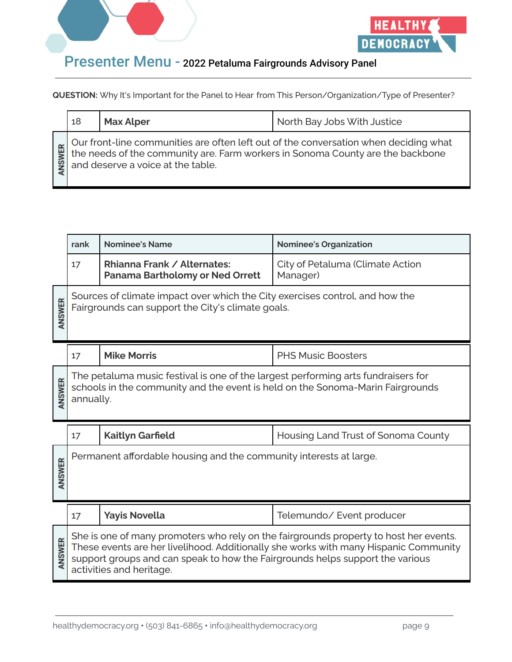



| 18 | <b>Max Alper</b> | North Bay Jobs With Justice                                                                                                                                                                                 |
|----|------------------|-------------------------------------------------------------------------------------------------------------------------------------------------------------------------------------------------------------|
|    |                  | Our front-line communities are often left out of the conversation when deciding what<br>the needs of the community are. Farm workers in Sonoma County are the backbone<br>and deserve a voice at the table. |

|        | rank      | <b>Nominee's Name</b>                                                                                                                                               | <b>Nominee's Organization</b>                                                                                                                                                 |
|--------|-----------|---------------------------------------------------------------------------------------------------------------------------------------------------------------------|-------------------------------------------------------------------------------------------------------------------------------------------------------------------------------|
|        | 17        | Rhianna Frank / Alternates:<br><b>Panama Bartholomy or Ned Orrett</b>                                                                                               | City of Petaluma (Climate Action<br>Manager)                                                                                                                                  |
| ANSWER |           | Sources of climate impact over which the City exercises control, and how the<br>Fairgrounds can support the City's climate goals.                                   |                                                                                                                                                                               |
|        | 17        | <b>Mike Morris</b>                                                                                                                                                  | <b>PHS Music Boosters</b>                                                                                                                                                     |
| ANSWER | annually. | The petaluma music festival is one of the largest performing arts fundraisers for<br>schools in the community and the event is held on the Sonoma-Marin Fairgrounds |                                                                                                                                                                               |
|        | 17        | <b>Kaitlyn Garfield</b>                                                                                                                                             | Housing Land Trust of Sonoma County                                                                                                                                           |
| ANSWER |           | Permanent affordable housing and the community interests at large.                                                                                                  |                                                                                                                                                                               |
|        | 17        | <b>Yayis Novella</b>                                                                                                                                                | Telemundo/ Event producer                                                                                                                                                     |
| ANSWER |           | support groups and can speak to how the Fairgrounds helps support the various<br>activities and heritage.                                                           | She is one of many promoters who rely on the fairgrounds property to host her events.<br>These events are her livelihood. Additionally she works with many Hispanic Community |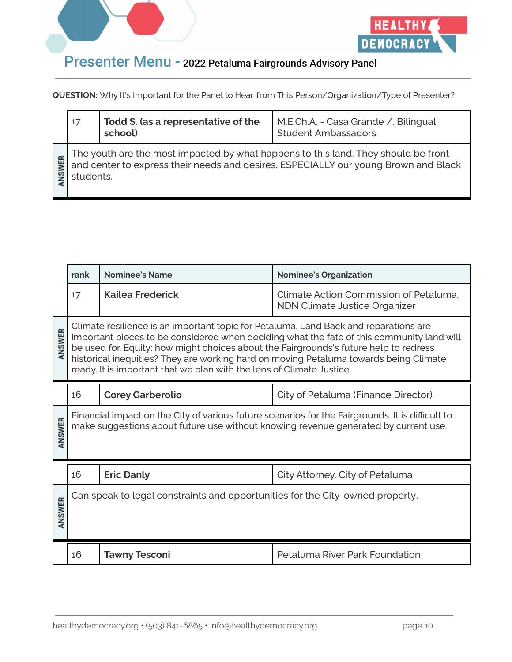



|    | 17        | Todd S. (as a representative of the<br>school) | M.E.Ch.A. - Casa Grande / Bilingual<br><b>Student Ambassadors</b>                                                                                                         |
|----|-----------|------------------------------------------------|---------------------------------------------------------------------------------------------------------------------------------------------------------------------------|
| ER | students. |                                                | The youth are the most impacted by what happens to this land. They should be front<br>and center to express their needs and desires. ESPECIALLY our young Brown and Black |

|        | rank                                                                                                                                                                                                                                                                                                                                                                                                                                         | <b>Nominee's Name</b>                                                         | <b>Nominee's Organization</b>                                                                                                                                                           |
|--------|----------------------------------------------------------------------------------------------------------------------------------------------------------------------------------------------------------------------------------------------------------------------------------------------------------------------------------------------------------------------------------------------------------------------------------------------|-------------------------------------------------------------------------------|-----------------------------------------------------------------------------------------------------------------------------------------------------------------------------------------|
|        | 17                                                                                                                                                                                                                                                                                                                                                                                                                                           | <b>Kailea Frederick</b>                                                       | Climate Action Commission of Petaluma.<br><b>NDN Climate Justice Organizer</b>                                                                                                          |
| ANSWER | Climate resilience is an important topic for Petaluma. Land Back and reparations are<br>important pieces to be considered when deciding what the fate of this community land will<br>be used for. Equity: how might choices about the Fairgrounds's future help to redress<br>historical inequities? They are working hard on moving Petaluma towards being Climate<br>ready. It is important that we plan with the lens of Climate Justice. |                                                                               |                                                                                                                                                                                         |
|        | 16                                                                                                                                                                                                                                                                                                                                                                                                                                           | <b>Corey Garberolio</b>                                                       | City of Petaluma (Finance Director)                                                                                                                                                     |
| ANSWER |                                                                                                                                                                                                                                                                                                                                                                                                                                              |                                                                               | Financial impact on the City of various future scenarios for the Fairgrounds. It is difficult to<br>make suggestions about future use without knowing revenue generated by current use. |
|        | 16                                                                                                                                                                                                                                                                                                                                                                                                                                           | <b>Eric Danly</b>                                                             | City Attorney, City of Petaluma                                                                                                                                                         |
| ANSWER |                                                                                                                                                                                                                                                                                                                                                                                                                                              | Can speak to legal constraints and opportunities for the City-owned property. |                                                                                                                                                                                         |
|        | 16                                                                                                                                                                                                                                                                                                                                                                                                                                           | <b>Tawny Tesconi</b>                                                          | Petaluma River Park Foundation                                                                                                                                                          |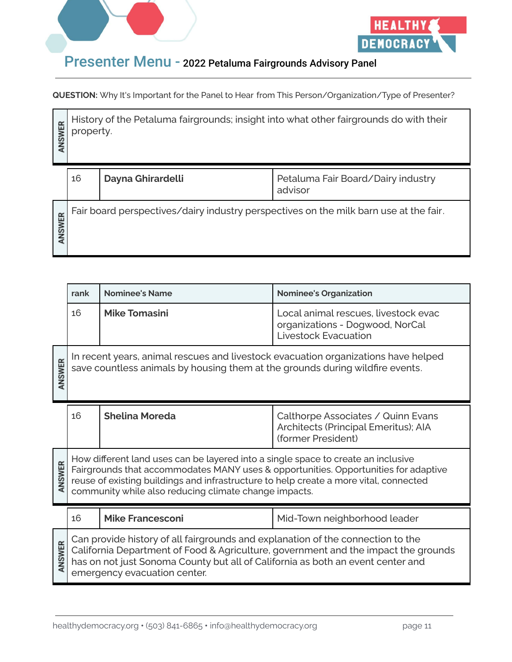



| ANSWER       | History of the Petaluma fairgrounds; insight into what other fairgrounds do with their<br>property. |                   |                                               |
|--------------|-----------------------------------------------------------------------------------------------------|-------------------|-----------------------------------------------|
|              | 16                                                                                                  | Dayna Ghirardelli | Petaluma Fair Board/Dairy industry<br>advisor |
| <b>NSWER</b> | Fair board perspectives/dairy industry perspectives on the milk barn use at the fair.               |                   |                                               |

|              | rank | <b>Nominee's Name</b>                                                                                                                                                                                                               | <b>Nominee's Organization</b>                                                                          |
|--------------|------|-------------------------------------------------------------------------------------------------------------------------------------------------------------------------------------------------------------------------------------|--------------------------------------------------------------------------------------------------------|
|              | 16   | <b>Mike Tomasini</b>                                                                                                                                                                                                                | Local animal rescues, livestock evac<br>organizations - Dogwood, NorCal<br><b>Livestock Evacuation</b> |
| ANSWER       |      | In recent years, animal rescues and livestock evacuation organizations have helped<br>save countless animals by housing them at the grounds during wildfire events.                                                                 |                                                                                                        |
|              | 16   | <b>Shelina Moreda</b>                                                                                                                                                                                                               | Calthorpe Associates / Quinn Evans<br>Architects (Principal Emeritus); AIA<br>(former President)       |
| ANSWER       |      | How different land uses can be layered into a single space to create an inclusive<br>reuse of existing buildings and infrastructure to help create a more vital, connected<br>community while also reducing climate change impacts. | Fairgrounds that accommodates MANY uses & opportunities. Opportunities for adaptive                    |
|              | 16   | <b>Mike Francesconi</b>                                                                                                                                                                                                             | Mid-Town neighborhood leader                                                                           |
| <b>NSWER</b> |      | Can provide history of all fairgrounds and explanation of the connection to the<br>has on not just Sonoma County but all of California as both an event center and<br>emergency evacuation center.                                  | California Department of Food & Agriculture, government and the impact the grounds                     |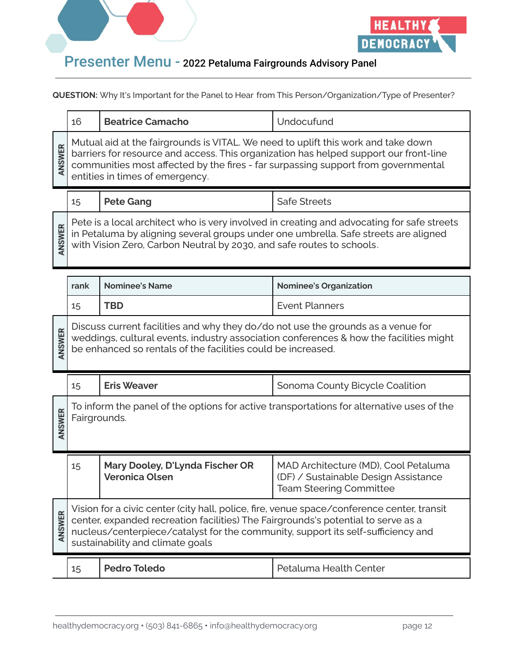



|        | 16                                                                                                                                                                                                                                                                                                      | <b>Beatrice Camacho</b>                                  | Undocufund                                                                                                     |  |
|--------|---------------------------------------------------------------------------------------------------------------------------------------------------------------------------------------------------------------------------------------------------------------------------------------------------------|----------------------------------------------------------|----------------------------------------------------------------------------------------------------------------|--|
| ANSWER | Mutual aid at the fairgrounds is VITAL. We need to uplift this work and take down<br>barriers for resource and access. This organization has helped support our front-line<br>communities most affected by the fires - far surpassing support from governmental<br>entities in times of emergency.      |                                                          |                                                                                                                |  |
|        | 15                                                                                                                                                                                                                                                                                                      | <b>Pete Gang</b>                                         | <b>Safe Streets</b>                                                                                            |  |
| ANSWER | Pete is a local architect who is very involved in creating and advocating for safe streets<br>in Petaluma by aligning several groups under one umbrella. Safe streets are aligned<br>with Vision Zero, Carbon Neutral by 2030, and safe routes to schools.                                              |                                                          |                                                                                                                |  |
|        | <b>Nominee's Name</b><br><b>Nominee's Organization</b><br>rank                                                                                                                                                                                                                                          |                                                          |                                                                                                                |  |
|        | 15                                                                                                                                                                                                                                                                                                      | <b>TBD</b>                                               | <b>Event Planners</b>                                                                                          |  |
| ANSWER | Discuss current facilities and why they do/do not use the grounds as a venue for<br>weddings, cultural events, industry association conferences & how the facilities might<br>be enhanced so rentals of the facilities could be increased.                                                              |                                                          |                                                                                                                |  |
|        | 15                                                                                                                                                                                                                                                                                                      | <b>Eris Weaver</b>                                       | Sonoma County Bicycle Coalition                                                                                |  |
| ANSWER | To inform the panel of the options for active transportations for alternative uses of the<br>Fairgrounds.                                                                                                                                                                                               |                                                          |                                                                                                                |  |
|        | 15                                                                                                                                                                                                                                                                                                      | Mary Dooley, D'Lynda Fischer OR<br><b>Veronica Olsen</b> | MAD Architecture (MD), Cool Petaluma<br>(DF) / Sustainable Design Assistance<br><b>Team Steering Committee</b> |  |
| ANSWER | Vision for a civic center (city hall, police, fire, venue space/conference center, transit<br>center, expanded recreation facilities) The Fairgrounds's potential to serve as a<br>nucleus/centerpiece/catalyst for the community, support its self-sufficiency and<br>sustainability and climate goals |                                                          |                                                                                                                |  |
|        | 15                                                                                                                                                                                                                                                                                                      | <b>Pedro Toledo</b>                                      | Petaluma Health Center                                                                                         |  |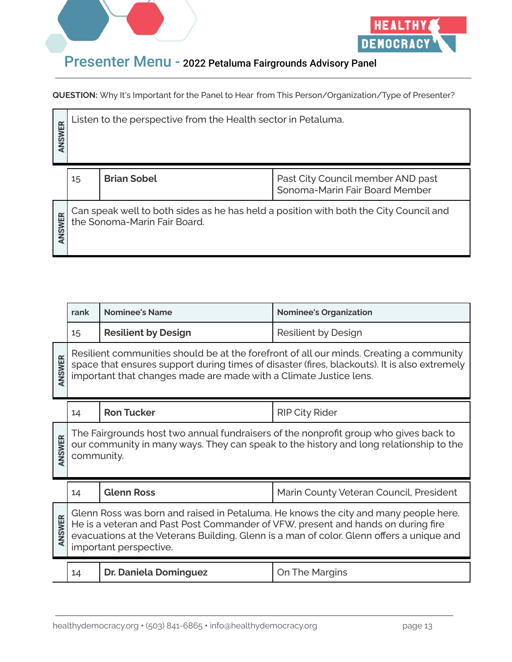



| <b>ASWER</b> | Listen to the perspective from the Health sector in Petaluma.                                                         |                    |                                                                     |
|--------------|-----------------------------------------------------------------------------------------------------------------------|--------------------|---------------------------------------------------------------------|
|              | 15                                                                                                                    | <b>Brian Sobel</b> | Past City Council member AND past<br>Sonoma-Marin Fair Board Member |
| <b>NSWER</b> | Can speak well to both sides as he has held a position with both the City Council and<br>the Sonoma-Marin Fair Board. |                    |                                                                     |

|        | rank                                                                                                                                                                                                                                                                                          | <b>Nominee's Name</b>        | <b>Nominee's Organization</b>           |
|--------|-----------------------------------------------------------------------------------------------------------------------------------------------------------------------------------------------------------------------------------------------------------------------------------------------|------------------------------|-----------------------------------------|
|        | 15                                                                                                                                                                                                                                                                                            | <b>Resilient by Design</b>   | Resilient by Design                     |
| ANSWER | Resilient communities should be at the forefront of all our minds. Creating a community<br>space that ensures support during times of disaster (fires, blackouts). It is also extremely<br>important that changes made are made with a Climate Justice lens.                                  |                              |                                         |
|        | 14                                                                                                                                                                                                                                                                                            | <b>Ron Tucker</b>            | <b>RIP City Rider</b>                   |
| ANSWER | The Fairgrounds host two annual fundraisers of the nonprofit group who gives back to<br>our community in many ways. They can speak to the history and long relationship to the<br>community.                                                                                                  |                              |                                         |
|        | 14                                                                                                                                                                                                                                                                                            | <b>Glenn Ross</b>            | Marin County Veteran Council, President |
| ANSWER | Glenn Ross was born and raised in Petaluma. He knows the city and many people here.<br>He is a veteran and Past Post Commander of VFW, present and hands on during fire<br>evacuations at the Veterans Building. Glenn is a man of color. Glenn offers a unique and<br>important perspective. |                              |                                         |
|        | 14                                                                                                                                                                                                                                                                                            | <b>Dr. Daniela Dominguez</b> | On The Margins                          |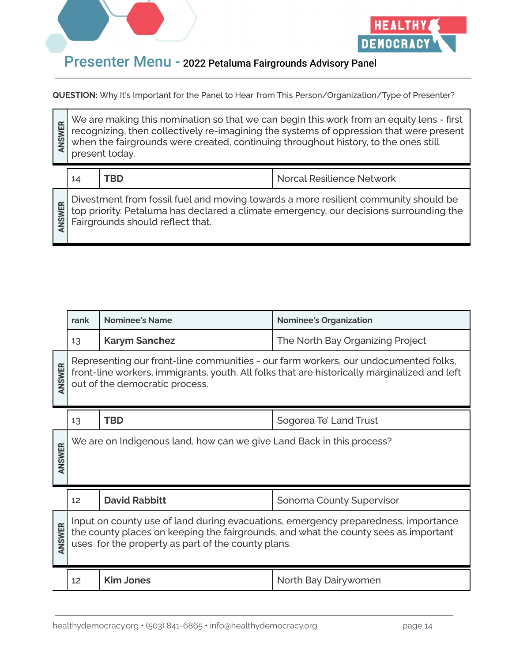



**QUESTION:** Why It's Important for the Panel to Hear from This Person/Organization/Type of Presenter?

We are making this nomination so that we can begin this work from an equity lens - first ANSWER recognizing, then collectively re-imagining the systems of oppression that were present when the fairgrounds were created, continuing throughout history, to the ones still present today. 14 **TBD** Norcal Resilience Network Divestment from fossil fuel and moving towards a more resilient community should be ANSWER top priority. Petaluma has declared a climate emergency, our decisions surrounding the Fairgrounds should reflect that.

|        | rank                                                                                                                                                                                                                            | <b>Nominee's Name</b> | <b>Nominee's Organization</b>    |
|--------|---------------------------------------------------------------------------------------------------------------------------------------------------------------------------------------------------------------------------------|-----------------------|----------------------------------|
|        | 13                                                                                                                                                                                                                              | <b>Karym Sanchez</b>  | The North Bay Organizing Project |
| ANSWER | Representing our front-line communities - our farm workers, our undocumented folks,<br>front-line workers, immigrants, youth. All folks that are historically marginalized and left<br>out of the democratic process.           |                       |                                  |
|        | 13                                                                                                                                                                                                                              | <b>TBD</b>            | Sogorea Te' Land Trust           |
| ANSWER | We are on Indigenous land, how can we give Land Back in this process?                                                                                                                                                           |                       |                                  |
|        | 12                                                                                                                                                                                                                              | <b>David Rabbitt</b>  | <b>Sonoma County Supervisor</b>  |
| ANSWER | Input on county use of land during evacuations, emergency preparedness, importance<br>the county places on keeping the fairgrounds, and what the county sees as important<br>uses for the property as part of the county plans. |                       |                                  |
|        | 12                                                                                                                                                                                                                              | <b>Kim Jones</b>      | North Bay Dairywomen             |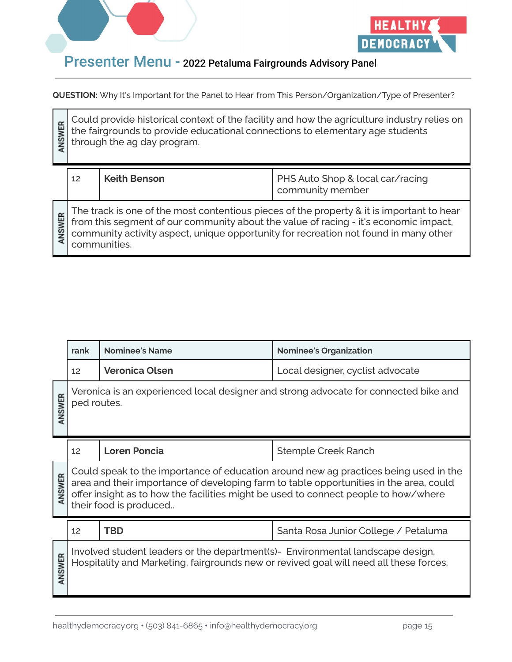



**QUESTION:** Why It's Important for the Panel to Hear from This Person/Organization/Type of Presenter?

Could provide historical context of the facility and how the agriculture industry relies on ANSWER the fairgrounds to provide educational connections to elementary age students through the ag day program. 12 **Keith Benson** PHS Auto Shop & local car/racing community member The track is one of the most contentious pieces of the property & it is important to hear ANSWER from this segment of our community about the value of racing - it's economic impact, community activity aspect, unique opportunity for recreation not found in many other communities.

|              | rank        | <b>Nominee's Name</b>                                                          | <b>Nominee's Organization</b>                                                                                                                                                                                                                                         |
|--------------|-------------|--------------------------------------------------------------------------------|-----------------------------------------------------------------------------------------------------------------------------------------------------------------------------------------------------------------------------------------------------------------------|
|              | 12          | <b>Veronica Olsen</b>                                                          | Local designer, cyclist advocate                                                                                                                                                                                                                                      |
| ANSWER       | ped routes. |                                                                                | Veronica is an experienced local designer and strong advocate for connected bike and                                                                                                                                                                                  |
|              | 12          | <b>Loren Poncia</b>                                                            | <b>Stemple Creek Ranch</b>                                                                                                                                                                                                                                            |
| ANSWER       |             | their food is produced                                                         | Could speak to the importance of education around new ag practices being used in the<br>area and their importance of developing farm to table opportunities in the area, could<br>offer insight as to how the facilities might be used to connect people to how/where |
|              | 12          | <b>TBD</b>                                                                     | Santa Rosa Junior College / Petaluma                                                                                                                                                                                                                                  |
| <b>NSWER</b> |             | Involved student leaders or the department(s)- Environmental landscape design, | Hospitality and Marketing, fairgrounds new or revived goal will need all these forces.                                                                                                                                                                                |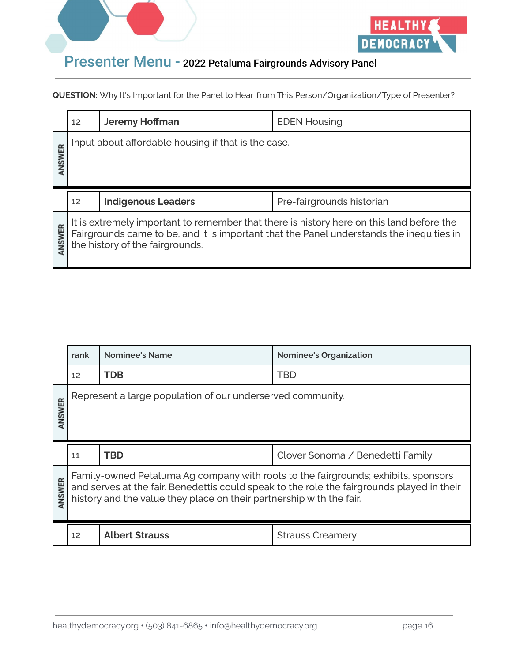



|       | 12                | <b>Jeremy Hoffman</b>                               | <b>EDEN Housing</b>       |
|-------|-------------------|-----------------------------------------------------|---------------------------|
| NSWER |                   | Input about affordable housing if that is the case. |                           |
|       |                   |                                                     |                           |
|       | $12 \overline{ }$ | <b>Indigenous Leaders</b>                           | Pre-fairgrounds historian |

|        | rank                                                                                                                                                                                                                                                     | <b>Nominee's Name</b>                                      | <b>Nominee's Organization</b>    |
|--------|----------------------------------------------------------------------------------------------------------------------------------------------------------------------------------------------------------------------------------------------------------|------------------------------------------------------------|----------------------------------|
|        | 12                                                                                                                                                                                                                                                       | TDB                                                        | <b>TBD</b>                       |
| ANSWER |                                                                                                                                                                                                                                                          | Represent a large population of our underserved community. |                                  |
|        | 11                                                                                                                                                                                                                                                       | TBD                                                        | Clover Sonoma / Benedetti Family |
| ANSWER | Family-owned Petaluma Ag company with roots to the fairgrounds; exhibits, sponsors<br>and serves at the fair. Benedettis could speak to the role the fairgrounds played in their<br>history and the value they place on their partnership with the fair. |                                                            |                                  |
|        | 12 <sup>2</sup>                                                                                                                                                                                                                                          | <b>Albert Strauss</b>                                      | <b>Strauss Creamery</b>          |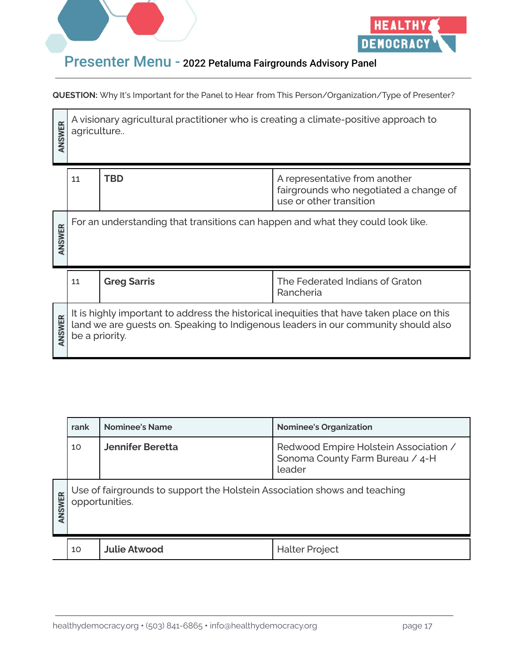



| ANSWER       | A visionary agricultural practitioner who is creating a climate-positive approach to<br>agriculture                                                                                               |                    |                                              |
|--------------|---------------------------------------------------------------------------------------------------------------------------------------------------------------------------------------------------|--------------------|----------------------------------------------|
|              | <b>TBD</b><br>A representative from another<br>11<br>fairgrounds who negotiated a change of<br>use or other transition                                                                            |                    |                                              |
| <b>NSWER</b> | For an understanding that transitions can happen and what they could look like.                                                                                                                   |                    |                                              |
|              | 11                                                                                                                                                                                                | <b>Greg Sarris</b> | The Federated Indians of Graton<br>Rancheria |
| <b>NSWER</b> | It is highly important to address the historical inequities that have taken place on this<br>land we are guests on. Speaking to Indigenous leaders in our community should also<br>be a priority. |                    |                                              |

|                                                                                                       | rank | <b>Nominee's Name</b>   | <b>Nominee's Organization</b>                                                      |
|-------------------------------------------------------------------------------------------------------|------|-------------------------|------------------------------------------------------------------------------------|
|                                                                                                       | 10   | <b>Jennifer Beretta</b> | Redwood Empire Holstein Association /<br>Sonoma County Farm Bureau / 4-H<br>leader |
| Use of fairgrounds to support the Holstein Association shows and teaching<br>ANSWER<br>opportunities. |      |                         |                                                                                    |
|                                                                                                       | 10   | <b>Julie Atwood</b>     | <b>Halter Project</b>                                                              |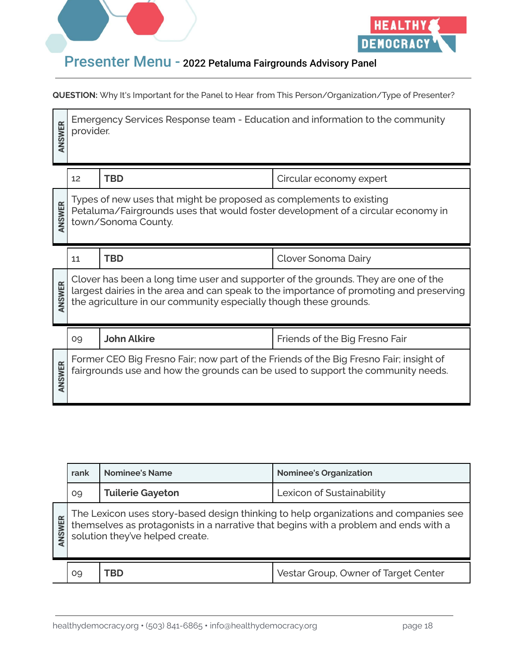



| ANSWER | Emergency Services Response team - Education and information to the community<br>provider.                                                                                     |                                                                   |                                                                                                                                                                               |
|--------|--------------------------------------------------------------------------------------------------------------------------------------------------------------------------------|-------------------------------------------------------------------|-------------------------------------------------------------------------------------------------------------------------------------------------------------------------------|
|        | 12                                                                                                                                                                             | <b>TBD</b>                                                        | Circular economy expert                                                                                                                                                       |
| ANSWER | Types of new uses that might be proposed as complements to existing<br>Petaluma/Fairgrounds uses that would foster development of a circular economy in<br>town/Sonoma County. |                                                                   |                                                                                                                                                                               |
|        |                                                                                                                                                                                |                                                                   |                                                                                                                                                                               |
|        | 11                                                                                                                                                                             | <b>TBD</b>                                                        | Clover Sonoma Dairy                                                                                                                                                           |
| ANSWER |                                                                                                                                                                                | the agriculture in our community especially though these grounds. | Clover has been a long time user and supporter of the grounds. They are one of the<br>largest dairies in the area and can speak to the importance of promoting and preserving |
|        | 09                                                                                                                                                                             | <b>John Alkire</b>                                                | Friends of the Big Fresno Fair                                                                                                                                                |

|               | rank                                                                                                                                                                                                         | <b>Nominee's Name</b>   | <b>Nominee's Organization</b>        |
|---------------|--------------------------------------------------------------------------------------------------------------------------------------------------------------------------------------------------------------|-------------------------|--------------------------------------|
|               | 09                                                                                                                                                                                                           | <b>Tuilerie Gayeton</b> | Lexicon of Sustainability            |
| <b>INSWER</b> | The Lexicon uses story-based design thinking to help organizations and companies see themselves as protagonists in a narrative that begins with a problem and ends with a<br>solution they've helped create. |                         |                                      |
|               | 09                                                                                                                                                                                                           | rbd                     | Vestar Group, Owner of Target Center |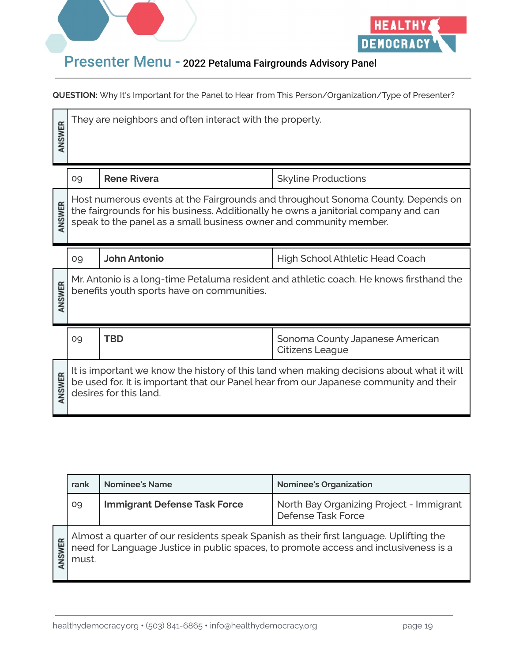



| ANSWER | They are neighbors and often interact with the property.                                                                                                                                                                                      |                     |                                                           |
|--------|-----------------------------------------------------------------------------------------------------------------------------------------------------------------------------------------------------------------------------------------------|---------------------|-----------------------------------------------------------|
|        | 09                                                                                                                                                                                                                                            | <b>Rene Rivera</b>  | <b>Skyline Productions</b>                                |
| ANSWER | Host numerous events at the Fairgrounds and throughout Sonoma County. Depends on<br>the fairgrounds for his business. Additionally he owns a janitorial company and can<br>speak to the panel as a small business owner and community member. |                     |                                                           |
|        | 09                                                                                                                                                                                                                                            | <b>John Antonio</b> | <b>High School Athletic Head Coach</b>                    |
| ANSWER | Mr. Antonio is a long-time Petaluma resident and athletic coach. He knows firsthand the<br>benefits youth sports have on communities.                                                                                                         |                     |                                                           |
|        | 09                                                                                                                                                                                                                                            | <b>TBD</b>          | Sonoma County Japanese American<br><b>Citizens League</b> |
| ANSWER | It is important we know the history of this land when making decisions about what it will<br>be used for. It is important that our Panel hear from our Japanese community and their<br>desires for this land.                                 |                     |                                                           |

|              | rank  | <b>Nominee's Name</b>               | <b>Nominee's Organization</b>                                                                                                                                               |
|--------------|-------|-------------------------------------|-----------------------------------------------------------------------------------------------------------------------------------------------------------------------------|
|              | 09    | <b>Immigrant Defense Task Force</b> | North Bay Organizing Project - Immigrant<br>Defense Task Force                                                                                                              |
| <b>NSWER</b> | must. |                                     | Almost a quarter of our residents speak Spanish as their first language. Uplifting the need for Language Justice in public spaces, to promote access and inclusiveness is a |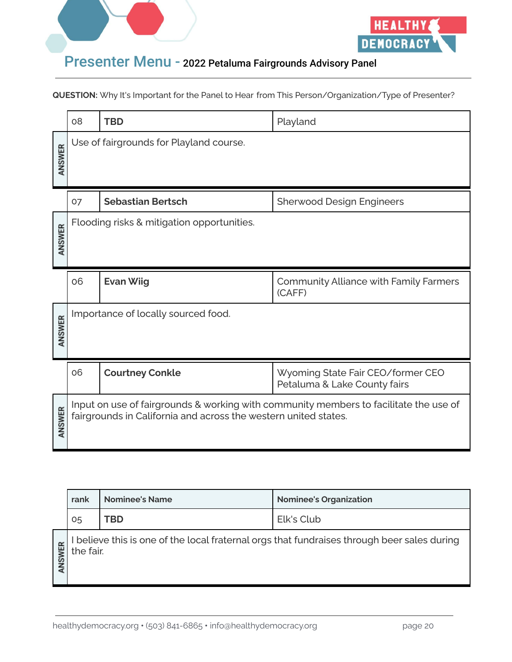



|        | 08                                                                                                                                                       | <b>TBD</b>               | Playland                                                          |
|--------|----------------------------------------------------------------------------------------------------------------------------------------------------------|--------------------------|-------------------------------------------------------------------|
| ANSWER | Use of fairgrounds for Playland course.                                                                                                                  |                          |                                                                   |
|        | 07                                                                                                                                                       | <b>Sebastian Bertsch</b> | <b>Sherwood Design Engineers</b>                                  |
| ANSWER | Flooding risks & mitigation opportunities.                                                                                                               |                          |                                                                   |
|        | 06                                                                                                                                                       | <b>Evan Wiig</b>         | <b>Community Alliance with Family Farmers</b><br>(CAFF)           |
| ANSWER | Importance of locally sourced food.                                                                                                                      |                          |                                                                   |
|        | 06                                                                                                                                                       | <b>Courtney Conkle</b>   | Wyoming State Fair CEO/former CEO<br>Petaluma & Lake County fairs |
| ANSWER | Input on use of fairgrounds & working with community members to facilitate the use of<br>fairgrounds in California and across the western united states. |                          |                                                                   |

|        | rank      | <b>Nominee's Name</b> | <b>Nominee's Organization</b>                                                             |
|--------|-----------|-----------------------|-------------------------------------------------------------------------------------------|
|        | 05        | TBD                   | Elk's Club                                                                                |
| ANSWER | the fair. |                       | believe this is one of the local fraternal orgs that fundraises through beer sales during |